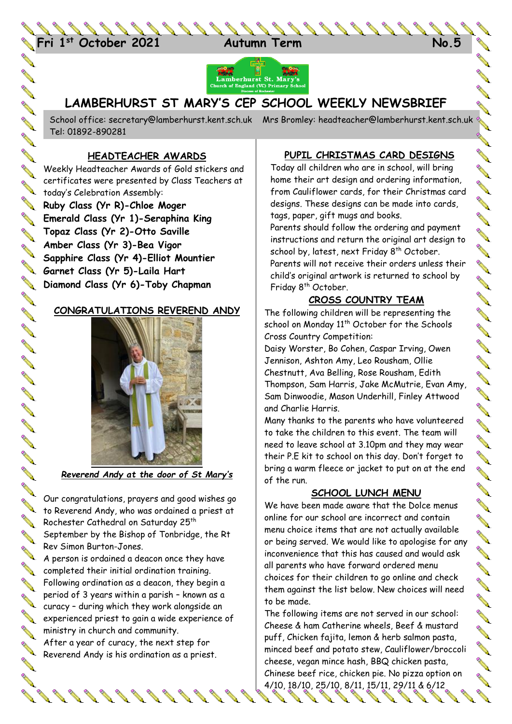



## **LAMBERHURST ST MARY'S CEP SCHOOL WEEKLY NEWSBRIEF**

School office: [secretary@lamberhurst.kent.sch.uk](mailto:secretary@lamberhurst.kent.sch.uk) Mrs Bromley: headteacher@lamberhurst.kent.sch.uk Tel: 01892-890281

### **HEADTEACHER AWARDS**

**CONSTRUCTION** 

**AND AND** 

No. of the

**AND** 

**Contract of the Contract of the Contract of the Contract of Contract of The Contract of The Contract of The Contract of The Contract of The Contract of The Contract of The Contract of The Contract of The Contract of The C** 

**ANT** 

**ANTI ANTI** 

**ANTI** 

**ANTI** 

**ARKA** 

**Contract of the Contract of the Contract of The Contract of The Contract of The Contract of The Contract of The Contract of The Contract of The Contract of The Contract of The Contract of The Contract of The Contract of T** 

**RANCISCO CONTROLLER** 

**RANT** 

A RIVER

**AND** 

**RANK** 

**ANTI** 

**A** 

**AVE** 

**RANCISCO** 

**AVE** 

**Contract of the Contract of the Contract of Contract of The Contract of Contract of The Contract of The Contract of The Contract of The Contract of The Contract of The Contract of The Contract of The Contract of The Contr** 

**ANTI** 

**RANT** 

Weekly Headteacher Awards of Gold stickers and certificates were presented by Class Teachers at CETTITICATOR CELEBRATION Assembly:

**Ruby Class (Yr R)-Chloe Moger Emerald Class (Yr 1)-Seraphina King Topaz Class (Yr 2)-Otto Saville Amber Class (Yr 3)-Bea Vigor Sapphire Class (Yr 4)-Elliot Mountier Garnet Class (Yr 5)-Laila Hart Diamond Class (Yr 6)-Toby Chapman**

#### **CONGRATULATIONS REVEREND ANDY**



*Reverend Andy at the door of St Mary's*

Our congratulations, prayers and good wishes go to Reverend Andy, who was ordained a priest at Rochester Cathedral on Saturday 25<sup>th</sup> September by the Bishop of Tonbridge, the Rt Rev Simon Burton-Jones.  $\sim$  A person is ordained a deacon once they have completed their initial ordination training. Following ordination as a deacon, they begin a period of 3 years within a parish – known as a

curacy – during which they work alongside an experienced priest to gain a wide experience of ministry in church and community.

After a year of curacy, the next step for Atter a year of curve, the mean of the Reverend Andy is his ordination as a priest.

 $8888888888$ 

### **PUPIL CHRISTMAS CARD DESIGNS**

Today all children who are in school, will bring home their art design and ordering information, from Cauliflower cards, for their Christmas card designs. These designs can be made into cards, tags, paper, gift mugs and books. Parents should follow the ordering and payment

instructions and return the original art design to school by, latest, next Friday 8<sup>th</sup> October. Parents will not receive their orders unless their child's original artwork is returned to school by Friday 8<sup>th</sup> October.

### **CROSS COUNTRY TEAM**

The following children will be representing the school on Monday  $11^{th}$  October for the Schools Cross Country Competition:

Daisy Worster, Bo Cohen, Caspar Irving, Owen Jennison, Ashton Amy, Leo Rousham, Ollie Chestnutt, Ava Belling, Rose Rousham, Edith Thompson, Sam Harris, Jake McMutrie, Evan Amy, Sam Dinwoodie, Mason Underhill, Finley Attwood and Charlie Harris.

Many thanks to the parents who have volunteered to take the children to this event. The team will need to leave school at 3.10pm and they may wear their P.E kit to school on this day. Don't forget to bring a warm fleece or jacket to put on at the end of the run.

### **SCHOOL LUNCH MENU**

We have been made aware that the Dolce menus online for our school are incorrect and contain menu choice items that are not actually available or being served. We would like to apologise for any inconvenience that this has caused and would ask all parents who have forward ordered menu choices for their children to go online and check them against the list below. New choices will need to be made.

The following items are not served in our school: Cheese & ham Catherine wheels, Beef & mustard puff, Chicken fajita, lemon & herb salmon pasta, minced beef and potato stew, Cauliflower/broccoli cheese, vegan mince hash, BBQ chicken pasta, Chinese beef rice, chicken pie. No pizza option on 4/10, 18/10, 25/10, 8/11, 15/11, 29/11 & 6/12

J.

J. **Contract Contract Contract Contract Contract Contract Contract Contract Contract Contract Contract Contract Contract Contract Contract Contract Contract Contract Contract Contract Contract Contract Contract Contract Contr** 

SISTISTI

a (barat di tanza).<br>Kabupatèn Santa Tanggaran Kabupatèn Santa Bandaran Sura di Tana di Salam Santa Bandara Sura di Tanàn ang Para